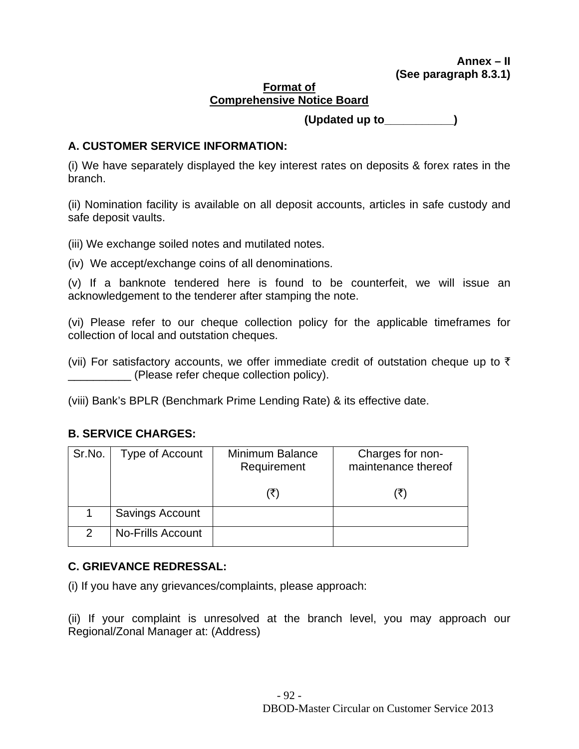#### **Format of Comprehensive Notice Board**

 **(Updated up to\_\_\_\_\_\_\_\_\_\_\_)** 

# **A. CUSTOMER SERVICE INFORMATION:**

(i) We have separately displayed the key interest rates on deposits & forex rates in the branch.

(ii) Nomination facility is available on all deposit accounts, articles in safe custody and safe deposit vaults.

(iii) We exchange soiled notes and mutilated notes.

(iv) We accept/exchange coins of all denominations.

(v) If a banknote tendered here is found to be counterfeit, we will issue an acknowledgement to the tenderer after stamping the note.

(vi) Please refer to our cheque collection policy for the applicable timeframes for collection of local and outstation cheques.

(vii) For satisfactory accounts, we offer immediate credit of outstation cheque up to  $\bar{\tau}$ \_\_\_\_\_\_\_\_\_\_ (Please refer cheque collection policy).

(viii) Bank's BPLR (Benchmark Prime Lending Rate) & its effective date.

## **B. SERVICE CHARGES:**

| Sr.No.        | Type of Account          | Minimum Balance<br>Requirement | Charges for non-<br>maintenance thereof |
|---------------|--------------------------|--------------------------------|-----------------------------------------|
|               |                          |                                |                                         |
|               | Savings Account          |                                |                                         |
| $\mathcal{P}$ | <b>No-Frills Account</b> |                                |                                         |

## **C. GRIEVANCE REDRESSAL:**

(i) If you have any grievances/complaints, please approach:

(ii) If your complaint is unresolved at the branch level, you may approach our Regional/Zonal Manager at: (Address)